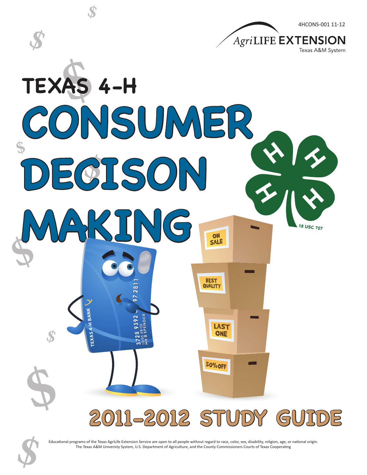

Educational programs of the Texas AgriLife Extension Service are open to all people without regard to race, color, sex, disability, religion, age, or national origin. Educational programs of the Texas AgriLife Extension Service are open to all people without regard to race, color, sex, disability, religion, age, or<br>The Texas A&M University System, U.S. Department of Agriculture, and the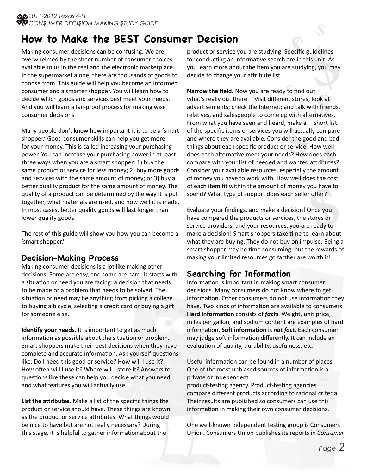# **How to Make the BEST Consumer Decision**

Making consumer decisions can be confusing. We are overwhelmed by the sheer number of consumer choices available to us in the real and the electronic marketplace. In the supermarket alone, there are thousands of goods to choose from. This guide will help you become an informed consumer and a smarter shopper. You will learn how to decide which goods and services best meet your needs. And you will learn a fail-proof process for making wise consumer decisions.

Many people don't know how important it is to be a 'smart shopper.' Good consumer skills can help you get more for your money. This is called increasing your purchasing power. You can increase your purchasing power in at least three ways when you are a smart shopper: 1) buy the same product or service for less money; 2) buy more goods and services with the same amount of money; or 3) buy a better quality product for the same amount of money. The quality of a product can be determined by the way it is put together, what materials are used, and how well it is made. In most cases, better quality goods will last longer than lower quality goods.

The rest of this guide will show you how you can become a 'smart shopper.'

## **Decision-Making Process**

Making consumer decisions is a lot like making other decisions. Some are easy, and some are hard. It starts with a situation or need you are facing: a decision that needs to be made or a problem that needs to be solved. The situation or need may be anything from picking a college to buying a bicycle, selecting a credit card or buying a gift for someone else.

**Identify your needs**. It is important to get as much information as possible about the situation or problem. Smart shoppers make their best decisions when they have complete and accurate information. Ask yourself questions like: Do I need this good or service? How will I use it? How often will I use it? Where will I store it? Answers to questions like these can help you decide what you need and what features you will actually use.

**List the attributes.** Make a list of the specific things the product or service should have. These things are known as the product or service attributes. What things would be nice to have but are not really necessary? During this stage, it is helpful to gather information about the

**T** Decision<br>product or service you are studying. Specific guidelines for conducting an informative search are in this unit. As you learn more about the item you are studying, you may decide to change your attribute list.

**\$**

**Example 18 Sources, experience and increase to work with. How well does the cost** of each item fit within the amount of money you have to will actually compare<br>
will actually compare<br>
der the good and bad<br>
or service. How well<br>
eds? How does each<br>
d wanted attributes? Specific guidelines<br>are in this unit. As<br>re studying, you may<br>to find out<br>to find out<br>and talk with friends,<br>p with alternatives. **Narrow the field.** Now you are ready to find out what's really out there. Visit different stores; look at advertisements; check the Internet; and talk with friends, relatives, and salespeople to come up with alternatives. From what you have seen and heard, make a  $-$ short list of the specific items or services you will actually compare and where they are available. Consider the good and bad things about each specific product or service. How well does each alternative meet your needs? How does each compare with your list of needed and wanted attributes? Consider your available resources, especially the amount of each item fit within the amount of money you have to spend? What type of support does each seller offer?

of money you have to<br>each seller offer?<br>decision! Once you<br>rvices, the stores or<br>ces, you are ready to<br>ake time to learn about<br>buy on impulse. Being a<br>ming, but the rewards of Evaluate your findings, and make a decision! Once you have compared the products or services, the stores or service providers, and your resources, you are ready to make a decision! Smart shoppers take time to learn about what they are buying. They do not buy on impulse. Being a smart shopper may be time consuming, but the rewards of making your limited resources go farther are worth it!

# **Searching for Information**

Information is important in making smart consumer decisions. Many consumers do not know where to get information. Other consumers do not use information they have. Two kinds of information are available to consumers. **Hard information** consists of *facts*. Weight, unit price, miles per gallon, and sodium content are examples of hard information. **Soft information** is *not fact*. Each consumer may judge soft information differently. It can include an evaluation of quality, durability, usefulness, etc.

Useful information can be found in a number of places. One of the most unbiased sources of information is a private or independent

product-testing agency. Product-testing agencies compare different products according to rational criteria. Their results are published so consumers can use this information in making their own consumer decisions.

One well-known independent testing group is Consumers Union. Consumers Union publishes its reports in *Consumer*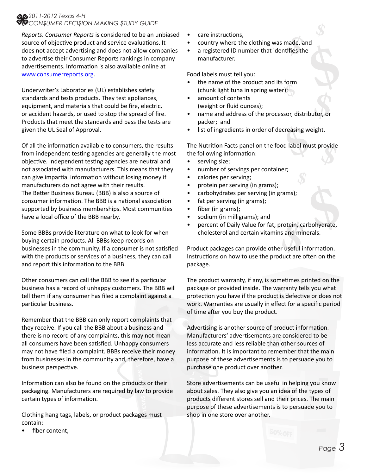#### *2011-2012 Texas 4-H CON\$UMER DECI\$ION MAKING \$TUDY GUIDE*

*Reports*. *Consumer Reports* is considered to be an unbiased source of objective product and service evaluations. It does not accept advertising and does not allow companies to advertise their Consumer Reports rankings in company advertisements. Information is also available online at www.consumerreports.org.

Underwriter's Laboratories (UL) establishes safety standards and tests products. They test appliances, equipment, and materials that could be fire, electric, or accident hazards, or used to stop the spread of fire. Products that meet the standards and pass the tests are given the UL Seal of Approval.

Of all the information available to consumers, the results from independent testing agencies are generally the most objective. Independent testing agencies are neutral and not associated with manufacturers. This means that they can give impartial information without losing money if manufacturers do not agree with their results. The Better Business Bureau (BBB) is also a source of consumer information. The BBB is a national association supported by business memberships. Most communities have a local office of the BBB nearby.

Some BBBs provide literature on what to look for when buying certain products. All BBBs keep records on businesses in the community. If a consumer is not satisfied with the products or services of a business, they can call and report this information to the BBB.

Other consumers can call the BBB to see if a particular business has a record of unhappy customers. The BBB will tell them if any consumer has filed a complaint against a particular business.

Remember that the BBB can only report complaints that they receive. If you call the BBB about a business and there is no record of any complaints, this may not mean all consumers have been satisfied. Unhappy consumers may not have filed a complaint. BBBs receive their money from businesses in the community and, therefore, have a business perspective.

Information can also be found on the products or their packaging. Manufacturers are required by law to provide certain types of information.

Clothing hang tags, labels, or product packages must contain:

fiber content.

- care instructions,
- country where the clothing was made, and
- nade, al<br>tifies th • a registered ID number that identifies the manufacturer.

Food labels must tell you:

- the name of the product and its form (chunk light tuna in spring water);
- amount of contents (weight or fluid ounces);
- **tifies the**<br>**form**<br>**;**<br>**;**<br>**x**<br>**or, distributor, or** • name and address of the processor, distributor, or packer; and
- list of ingredients in order of decreasing weight.

**Example 18 Second** the set of the set of the set of the set of the set of the set of the set of the set of the set of the set of the set of the set of the set of the set of the set of the set of the set of the set of the The Nutrition Facts panel on the food label must provide the following information:

**\$**

**\$**

- serving size;
- number of servings per container;
- calories per serving;
- protein per serving (in grams);
- carbohydrates per serving (in grams);
- fat per serving (in grams);
- fiber (in grams);
- sodium (in milligrams); and
- **Example 3.13**<br> **S Example 3.5**<br> **S Example 3.5**<br> **S Example 3.5**<br> **Example 3.5**<br> **Example 3.5**<br> **Example 3.5**<br> **Example 3.5**<br> **Example 4.5** • percent of Daily Value for fat, protein, carbohydrate, cholesterol and certain vitamins and minerals.

Product packages can provide other useful information. Instructions on how to use the product are often on the package.

The product warranty, if any, is sometimes printed on the package or provided inside. The warranty tells you what protection you have if the product is defective or does not work. Warranties are usually in effect for a specific period of time after you buy the product.

Advertising is another source of product information. Manufacturers' advertisements are considered to be less accurate and less reliable than other sources of information. It is important to remember that the main purpose of these advertisements is to persuade you to purchase one product over another.

Store advertisements can be useful in helping you know about sales. They also give you an idea of the types of products different stores sell and their prices. The main purpose of these advertisements is to persuade you to shop in one store over another.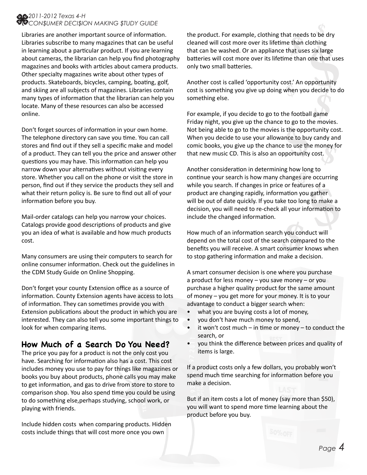#### *2011-2012 Texas 4-H CON\$UMER DECI\$ION MAKING \$TUDY GUIDE*

Libraries are another important source of information. Libraries subscribe to many magazines that can be useful in learning about a particular product. If you are learning about cameras, the librarian can help you find photography magazines and books with articles about camera products. Other specialty magazines write about other types of products. Skateboards, bicycles, camping, boating, golf, and skiing are all subjects of magazines. Libraries contain many types of information that the librarian can help you locate. Many of these resources can also be accessed online.

Don't forget sources of information in your own home. The telephone directory can save you time. You can call stores and find out if they sell a specific make and model of a product. They can tell you the price and answer other questions you may have. This information can help you narrow down your alternatives without visiting every store. Whether you call on the phone or visit the store in person, find out if they service the products they sell and what their return policy is. Be sure to find out all of your information before you buy.

Mail-order catalogs can help you narrow your choices. Catalogs provide good descriptions of products and give you an idea of what is available and how much products cost.

Many consumers are using their computers to search for online consumer information. Check out the guidelines in the CDM Study Guide on Online Shopping.

Don't forget your county Extension office as a source of information. County Extension agents have access to lots of information. They can sometimes provide you with Extension publications about the product in which you are interested. They can also tell you some important things to look for when comparing items.

# **How Much of a Search Do You Need?**

The price you pay for a product is not the only cost you have. Searching for information also has a cost. This cost includes money you use to pay for things like magazines or books you buy about products, phone calls you may make to get information, and gas to drive from store to store to comparison shop. You also spend time you could be using to do something else,perhaps studying, school work, or playing with friends.

Include hidden costs‖when comparing products. Hidden costs include things that will cost more once you own

Ie than clotning<br>that uses six large<br>me than one that uses<br>bst.' An opportunity<br>when you decide to do<br>ne football game **\$** the product. For example, clothing that needs to be dry at need<br>e than<br>that use cleaned will cost more over its lifetime than clothing that can be washed. Or an appliance that uses six large batteries will cost more over its lifetime than one that uses only two small batteries.

Another cost is called 'opportunity cost.' An opportunity cost is something you give up doing when you decide to do something else.

**Example 18 Set of the monests**<br> **s** the opportunity cos<br> **Example 18 Set of the money for portunity cost.** For example, if you decide to go to the football game Friday night, you give up the chance to go to the movies. Not being able to go to the movies is the opportunity cost. When you decide to use your allowance to buy candy and comic books, you give up the chance to use the money for that new music CD. This is also an opportunity cost.

Exercise of a<br> **Exercise of a**<br> **Exercise too long to make a**<br> **s**<br> **s**<br> **h** you conduct will<br> **of a**<br> **of a**<br> **of a**<br> **of above the consumer knows when<br>
<b>of above the consumer knows when EXIDENT CONSIDERATION IN DECEMBING NOTE CONTROL**<br>
continue your search is how many changes are occurring<br>
while you search if changes in price or features of a Another consideration in determining how long to while you search. If changes in price or features of a product are changing rapidly, information you gather will be out of date quickly. If you take too long to make a decision, you will need to re-check all your information to include the changed information.

How much of an information search you conduct will depend on the total cost of the search compared to the benefits you will receive. A smart consumer knows when to stop gathering information and make a decision.

A smart consumer decision is one where you purchase a product for less money – you save money – or you purchase a higher quality product for the same amount of money – you get more for your money. It is to your advantage to conduct a bigger search when:

- what you are buying costs a lot of money,
- you don't have much money to spend,
- it won't cost much in time or money to conduct the search, or
- you think the difference between prices and quality of items is large.

If a product costs only a few dollars, you probably won't spend much time searching for information before you make a decision.

But if an item costs a lot of money (say more than \$50), you will want to spend more time learning about the product before you buy.

*Page 4*